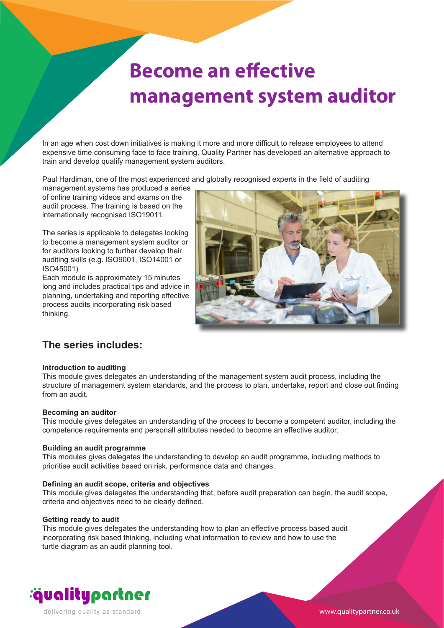## **Become an effective management system auditor**

In an age when cost down initiatives is making it more and more difficult to release employees to attend expensive time consuming face to face training, Quality Partner has developed an alternative approach to train and develop qualify management system auditors.

Paul Hardiman, one of the most experienced and globally recognised experts in the field of auditing

management systems has produced a series of online training videos and exams on the audit process. The training is based on the internationally recognised ISO19011.

The series is applicable to delegates looking to become a management system auditor or for auditors looking to further develop their auditing skills (e.g. ISO9001, ISO14001 or ISO45001)

Each module is approximately 15 minutes long and includes practical tips and advice in planning, undertaking and reporting effective process audits incorporating risk based thinking.



### **The series includes:**

#### **Introduction to auditing**

This module gives delegates an understanding of the management system audit process, including the structure of management system standards, and the process to plan, undertake, report and close out finding from an audit.

#### **Becoming an auditor**

This module gives delegates an understanding of the process to become a competent auditor, including the competence requirements and personall attributes needed to become an effective auditor.

#### **Building an audit programme**

This modules gives delegates the understanding to develop an audit programme, including methods to prioritise audit activities based on risk, performance data and changes.

#### **Defining an audit scope, criteria and objectives**

This module gives delegates the understanding that, before audit preparation can begin, the audit scope, criteria and objectives need to be clearly defined.

#### **Getting ready to audit**

This module gives delegates the understanding how to plan an effective process based audit incorporating risk based thinking, including what information to review and how to use the turtle diagram as an audit planning tool.



www.qualitypartner.co.uk